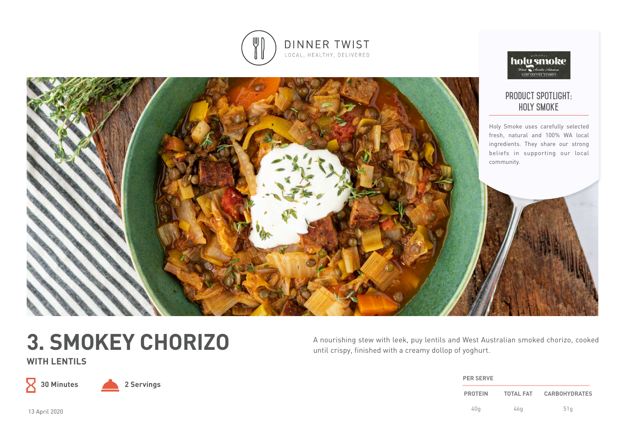



# **3. SMOKEY CHORIZO**

**WITH LENTILS**

 $\mathsf X$ 

**30 Minutes 2 Servings**

A nourishing stew with leek, puy lentils and West Australian smoked chorizo, cooked until crispy, finished with a creamy dollop of yoghurt.

| <b>PER SERVE</b> |                  |                      |
|------------------|------------------|----------------------|
| <b>PROTEIN</b>   | <b>TOTAL FAT</b> | <b>CARBOHYDRATES</b> |
| 40q              | 46g              | 51q                  |

holu smoke

13 April 2020